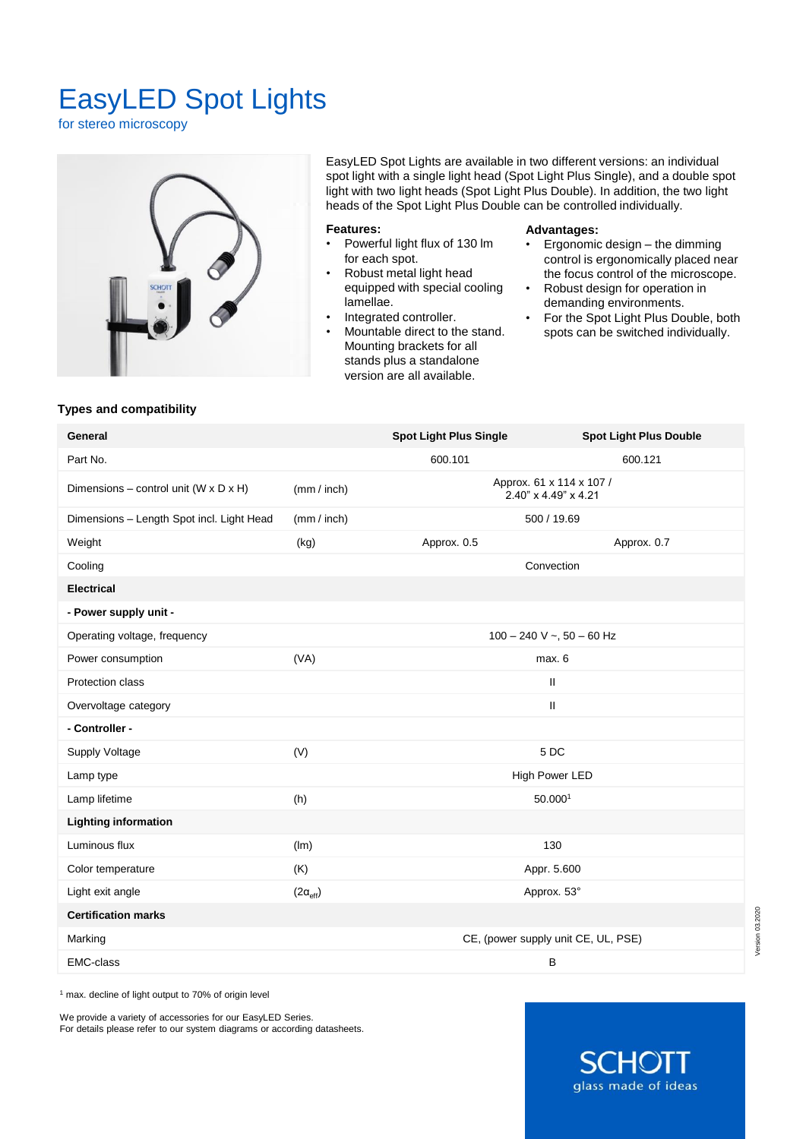# EasyLED Spot Lights

for stereo microscopy



EasyLED Spot Lights are available in two different versions: an individual spot light with a single light head (Spot Light Plus Single), and a double spot light with two light heads (Spot Light Plus Double). In addition, the two light heads of the Spot Light Plus Double can be controlled individually.

# **Features:**

- Powerful light flux of 130 lm for each spot.
- Robust metal light head equipped with special cooling lamellae.
- Integrated controller.
- Mountable direct to the stand. Mounting brackets for all stands plus a standalone version are all available.

### **Advantages:**

- Ergonomic design the dimming control is ergonomically placed near the focus control of the microscope.
- Robust design for operation in demanding environments.
- For the Spot Light Plus Double, both spots can be switched individually.

## **Types and compatibility**

| General                                   |                          | <b>Spot Light Plus Single</b>                    | <b>Spot Light Plus Double</b> |
|-------------------------------------------|--------------------------|--------------------------------------------------|-------------------------------|
| Part No.                                  |                          | 600.101                                          | 600.121                       |
| Dimensions - control unit (W x D x H)     | (mm / inch)              | Approx. 61 x 114 x 107 /<br>2.40" x 4.49" x 4.21 |                               |
| Dimensions - Length Spot incl. Light Head | (mm / inch)              | 500 / 19.69                                      |                               |
| Weight                                    | (kg)                     | Approx. 0.5                                      | Approx. 0.7                   |
| Cooling                                   |                          | Convection                                       |                               |
| <b>Electrical</b>                         |                          |                                                  |                               |
| - Power supply unit -                     |                          |                                                  |                               |
| Operating voltage, frequency              |                          | $100 - 240$ V ~, $50 - 60$ Hz                    |                               |
| Power consumption                         | (VA)                     | max. 6                                           |                               |
| Protection class                          |                          | Ш                                                |                               |
| Overvoltage category                      |                          | $\mathsf{II}$                                    |                               |
| - Controller -                            |                          |                                                  |                               |
| Supply Voltage                            | (V)                      | 5DC                                              |                               |
| Lamp type                                 |                          | High Power LED                                   |                               |
| Lamp lifetime                             | (h)                      | 50.0001                                          |                               |
| <b>Lighting information</b>               |                          |                                                  |                               |
| Luminous flux                             | (lm)                     | 130                                              |                               |
| Color temperature                         | (K)                      | Appr. 5.600                                      |                               |
| Light exit angle                          | $(2\alpha_{\text{eff}})$ | Approx. 53°                                      |                               |
| <b>Certification marks</b>                |                          |                                                  |                               |
| Marking                                   |                          | CE, (power supply unit CE, UL, PSE)              |                               |
| <b>EMC-class</b>                          |                          | B                                                |                               |
|                                           |                          |                                                  |                               |

<sup>1</sup> max. decline of light output to 70% of origin level

We provide a variety of accessories for our EasyLED Series. For details please refer to our system diagrams or according datasheets.